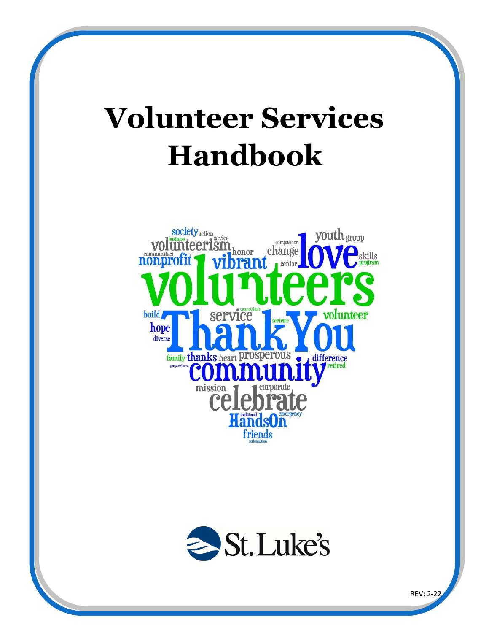# **Volunteer Services Handbook**





REV: 2-22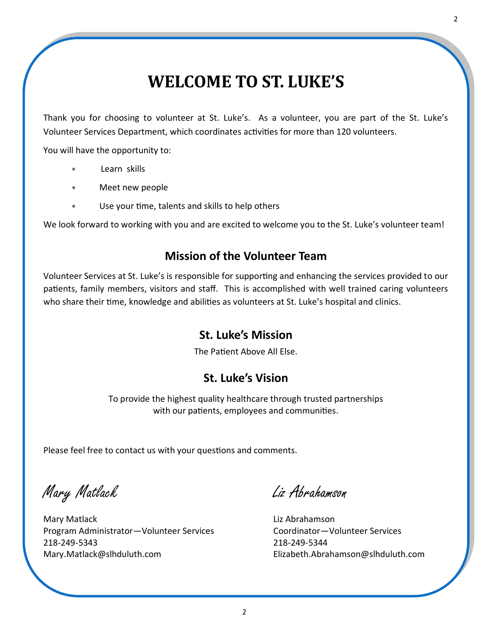# **WELCOME TO ST. LUKE'S**

Thank you for choosing to volunteer at St. Luke's. As a volunteer, you are part of the St. Luke's Volunteer Services Department, which coordinates activities for more than 120 volunteers.

You will have the opportunity to:

- Learn skills
- Meet new people
- Use your time, talents and skills to help others

We look forward to working with you and are excited to welcome you to the St. Luke's volunteer team!

### **Mission of the Volunteer Team**

Volunteer Services at St. Luke's is responsible for supporting and enhancing the services provided to our patients, family members, visitors and staff. This is accomplished with well trained caring volunteers who share their time, knowledge and abilities as volunteers at St. Luke's hospital and clinics.

### **St. Luke's Mission**

The Patient Above All Else.

### **St. Luke's Vision**

To provide the highest quality healthcare through trusted partnerships with our patients, employees and communities.

Please feel free to contact us with your questions and comments.

Mary Matlack Liz Abrahamson

Mary Matlack **Liz Abrahamson** Program Administrator—Volunteer Services Coordinator—Volunteer Services 218-249-5343 218-249-5344 Mary.Matlack@slhduluth.com Elizabeth.Abrahamson@slhduluth.com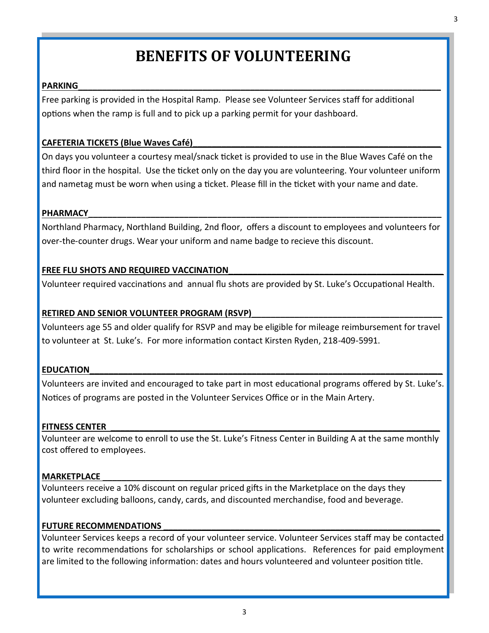# **BENEFITS OF VOLUNTEERING**

### **PARKING**\_\_\_\_\_\_\_\_\_\_\_\_\_\_\_\_\_\_\_\_\_\_\_\_\_\_\_\_\_\_\_\_\_\_\_\_\_\_\_\_\_\_\_\_\_\_\_\_\_\_\_\_\_\_\_\_\_\_\_\_\_\_\_\_\_\_\_\_\_\_\_\_\_\_\_\_

Free parking is provided in the Hospital Ramp. Please see Volunteer Services staff for additional options when the ramp is full and to pick up a parking permit for your dashboard.

### CAFETERIA TICKETS (Blue Waves Café)

On days you volunteer a courtesy meal/snack ticket is provided to use in the Blue Waves Café on the third floor in the hospital. Use the ticket only on the day you are volunteering. Your volunteer uniform and nametag must be worn when using a ticket. Please fill in the ticket with your name and date.

### **PHARMACY\_\_\_\_\_\_\_\_\_\_\_\_\_\_\_\_\_\_\_\_\_\_\_\_\_\_\_\_\_\_\_\_\_\_\_\_\_\_\_\_\_\_\_\_\_\_\_\_\_\_\_\_\_\_\_\_\_\_\_\_\_\_\_\_\_\_\_\_\_\_\_\_\_\_**

Northland Pharmacy, Northland Building, 2nd floor, offers a discount to employees and volunteers for over-the-counter drugs. Wear your uniform and name badge to recieve this discount.

#### **FREE FLU SHOTS AND REQUIRED VACCINATION\_\_\_\_\_\_\_\_\_\_\_\_\_\_\_\_\_\_\_\_\_\_\_\_\_\_\_\_\_\_\_\_\_\_\_\_\_\_\_\_\_\_\_\_\_**

Volunteer required vaccinations and annual flu shots are provided by St. Luke's Occupational Health.

#### **RETIRED AND SENIOR VOLUNTEER PROGRAM (RSVP)\_\_\_\_\_\_\_\_\_\_\_\_\_\_\_\_\_\_\_\_\_\_\_\_\_\_\_\_\_\_\_\_\_\_\_\_\_\_\_\_**

Volunteers age 55 and older qualify for RSVP and may be eligible for mileage reimbursement for travel to volunteer at St. Luke's. For more information contact Kirsten Ryden, 218-409-5991.

### **EDUCATION\_\_\_\_\_\_\_\_\_\_\_\_\_\_\_\_\_\_\_\_\_\_\_\_\_\_\_\_\_\_\_\_\_\_\_\_\_\_\_\_\_\_\_\_\_\_\_\_\_\_\_\_\_\_\_\_\_\_\_\_\_\_\_\_\_\_\_\_\_\_\_\_\_\_**

Volunteers are invited and encouraged to take part in most educational programs offered by St. Luke's. Notices of programs are posted in the Volunteer Services Office or in the Main Artery.

#### FITNESS CENTER

Volunteer are welcome to enroll to use the St. Luke's Fitness Center in Building A at the same monthly cost offered to employees.

#### **MARKETPLACE**

Volunteers receive a 10% discount on regular priced gifts in the Marketplace on the days they volunteer excluding balloons, candy, cards, and discounted merchandise, food and beverage.

#### FUTURE RECOMMENDATIONS

Volunteer Services keeps a record of your volunteer service. Volunteer Services staff may be contacted to write recommendations for scholarships or school applications. References for paid employment are limited to the following information: dates and hours volunteered and volunteer position title.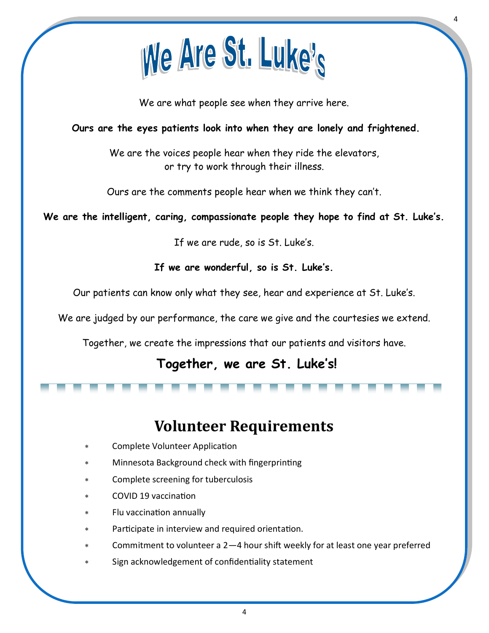

We are what people see when they arrive here.

4

### **Ours are the eyes patients look into when they are lonely and frightened.**

We are the voices people hear when they ride the elevators, or try to work through their illness.

Ours are the comments people hear when we think they can't.

### **We are the intelligent, caring, compassionate people they hope to find at St. Luke's.**

If we are rude, so is St. Luke's.

**If we are wonderful, so is St. Luke's.**

Our patients can know only what they see, hear and experience at St. Luke's.

We are judged by our performance, the care we give and the courtesies we extend.

Together, we create the impressions that our patients and visitors have.

### **Together, we are St. Luke's!**

### **Volunteer Requirements**

- Complete Volunteer Application
- Minnesota Background check with fingerprinting
- Complete screening for tuberculosis
- COVID 19 vaccination
- Flu vaccination annually
- Participate in interview and required orientation.
- Commitment to volunteer a 2—4 hour shift weekly for at least one year preferred
- Sign acknowledgement of confidentiality statement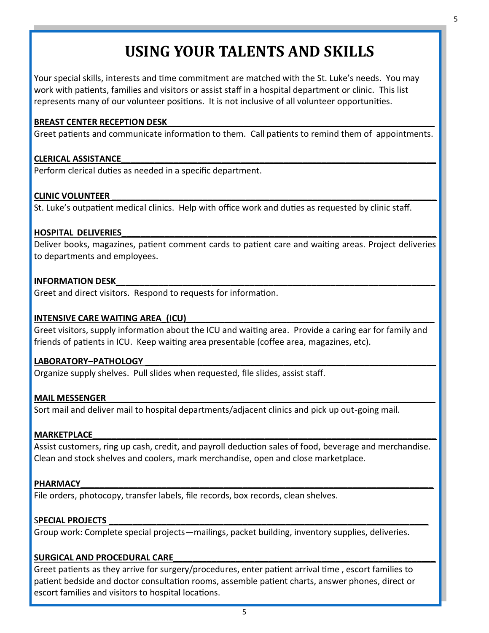# **USING YOUR TALENTS AND SKILLS**

Your special skills, interests and time commitment are matched with the St. Luke's needs. You may work with patients, families and visitors or assist staff in a hospital department or clinic. This list represents many of our volunteer positions. It is not inclusive of all volunteer opportunities.

### BREAST CENTER RECEPTION DESK

Greet patients and communicate information to them. Call patients to remind them of appointments.

### **CLERICAL ASSISTANCE\_\_\_\_\_\_\_\_\_\_\_\_\_\_\_\_\_\_\_\_\_\_\_\_\_\_\_\_\_\_\_\_\_\_\_\_\_\_\_\_\_\_\_\_\_\_\_\_\_\_\_\_\_\_\_\_\_\_\_\_\_\_\_\_\_\_**

Perform clerical duties as needed in a specific department.

### **CLINIC VOLUNTEER**

St. Luke's outpatient medical clinics. Help with office work and duties as requested by clinic staff.

### **HOSPITAL DELIVERIES\_\_\_\_\_\_\_\_\_\_\_\_\_\_\_\_\_\_\_\_\_\_\_\_\_\_\_\_\_\_\_\_\_\_\_\_\_\_\_\_\_\_\_\_\_\_\_\_\_\_\_\_\_\_\_\_\_\_\_\_\_\_\_\_\_\_**

Deliver books, magazines, patient comment cards to patient care and waiting areas. Project deliveries to departments and employees.

### **INFORMATION DESK**

Greet and direct visitors. Respond to requests for information.

### **INTENSIVE CARE WAITING AREA\_(ICU)**

Greet visitors, supply information about the ICU and waiting area. Provide a caring ear for family and friends of patients in ICU. Keep waiting area presentable (coffee area, magazines, etc).

### LABORATORY-PATHOLOGY

Organize supply shelves. Pull slides when requested, file slides, assist staff.

### **MAIL MESSENGER**

Sort mail and deliver mail to hospital departments/adjacent clinics and pick up out-going mail.

### **MARKETPLACE\_\_\_\_\_\_\_\_\_\_\_\_\_\_\_\_\_\_\_\_\_\_\_\_\_\_\_\_\_\_\_\_\_\_\_\_\_\_\_\_\_\_\_\_\_\_\_\_\_\_\_\_\_\_\_\_\_\_\_\_\_\_\_\_\_\_\_\_\_\_\_\_**

Assist customers, ring up cash, credit, and payroll deduction sales of food, beverage and merchandise. Clean and stock shelves and coolers, mark merchandise, open and close marketplace.

### **PHARMACY\_\_\_\_\_\_\_\_\_\_\_\_\_\_\_\_\_\_\_\_\_\_\_\_\_\_\_\_\_\_\_\_\_\_\_\_\_\_\_\_\_\_\_\_\_\_\_\_\_\_\_\_\_\_\_\_\_\_\_\_\_\_\_\_\_\_\_\_\_\_\_\_\_\_**

File orders, photocopy, transfer labels, file records, box records, clean shelves.

### S**PECIAL PROJECTS \_\_\_\_\_\_\_\_\_\_\_\_\_\_\_\_\_\_\_\_\_\_\_\_\_\_\_\_\_\_\_\_\_\_\_\_\_\_\_\_\_\_\_\_\_\_\_\_\_\_\_\_\_\_\_\_\_\_\_\_\_\_\_\_\_\_\_**

Group work: Complete special projects—mailings, packet building, inventory supplies, deliveries.

### SURGICAL AND PROCEDURAL CARE

Greet patients as they arrive for surgery/procedures, enter patient arrival time , escort families to patient bedside and doctor consultation rooms, assemble patient charts, answer phones, direct or escort families and visitors to hospital locations.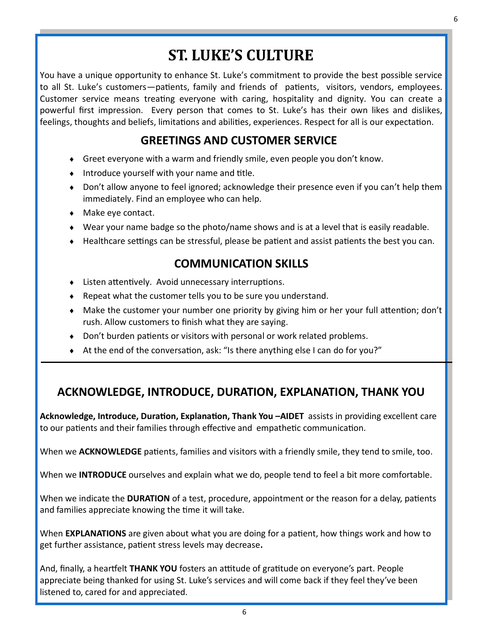# **ST. LUKE'S CULTURE**

You have a unique opportunity to enhance St. Luke's commitment to provide the best possible service to all St. Luke's customers—patients, family and friends of patients, visitors, vendors, employees. Customer service means treating everyone with caring, hospitality and dignity. You can create a powerful first impression. Every person that comes to St. Luke's has their own likes and dislikes, feelings, thoughts and beliefs, limitations and abilities, experiences. Respect for all is our expectation.

### **GREETINGS AND CUSTOMER SERVICE**

- Greet everyone with a warm and friendly smile, even people you don't know.
- $\bullet$  Introduce yourself with your name and title.
- Don't allow anyone to feel ignored; acknowledge their presence even if you can't help them immediately. Find an employee who can help.
- ◆ Make eye contact.
- Wear your name badge so the photo/name shows and is at a level that is easily readable.
- Healthcare settings can be stressful, please be patient and assist patients the best you can.

### **COMMUNICATION SKILLS**

- Listen attentively. Avoid unnecessary interruptions.
- Repeat what the customer tells you to be sure you understand.
- Make the customer your number one priority by giving him or her your full attention; don't rush. Allow customers to finish what they are saying.
- Don't burden patients or visitors with personal or work related problems.
- At the end of the conversation, ask: "Is there anything else I can do for you?"

### **ACKNOWLEDGE, INTRODUCE, DURATION, EXPLANATION, THANK YOU**

**Acknowledge, Introduce, Duration, Explanation, Thank You –AIDET** assists in providing excellent care to our patients and their families through effective and empathetic communication.

When we **ACKNOWLEDGE** patients, families and visitors with a friendly smile, they tend to smile, too.

When we **INTRODUCE** ourselves and explain what we do, people tend to feel a bit more comfortable.

When we indicate the **DURATION** of a test, procedure, appointment or the reason for a delay, patients and families appreciate knowing the time it will take.

When **EXPLANATIONS** are given about what you are doing for a patient, how things work and how to get further assistance, patient stress levels may decrease**.**

And, finally, a heartfelt **THANK YOU** fosters an attitude of gratitude on everyone's part. People appreciate being thanked for using St. Luke's services and will come back if they feel they've been listened to, cared for and appreciated.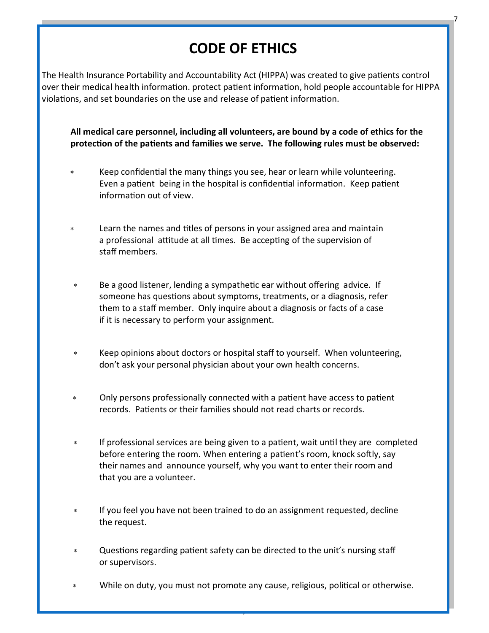# **CODE OF ETHICS**

7

The Health Insurance Portability and Accountability Act (HIPPA) was created to give patients control over their medical health information. protect patient information, hold people accountable for HIPPA violations, and set boundaries on the use and release of patient information.

**All medical care personnel, including all volunteers, are bound by a code of ethics for the protection of the patients and families we serve. The following rules must be observed:** 

- Keep confidential the many things you see, hear or learn while volunteering. Even a patient being in the hospital is confidential information. Keep patient information out of view.
- Learn the names and titles of persons in your assigned area and maintain a professional attitude at all times. Be accepting of the supervision of staff members.
- Be a good listener, lending a sympathetic ear without offering advice. If someone has questions about symptoms, treatments, or a diagnosis, refer them to a staff member. Only inquire about a diagnosis or facts of a case if it is necessary to perform your assignment.
- Keep opinions about doctors or hospital staff to yourself. When volunteering, don't ask your personal physician about your own health concerns.
- Only persons professionally connected with a patient have access to patient records. Patients or their families should not read charts or records.
- If professional services are being given to a patient, wait until they are completed before entering the room. When entering a patient's room, knock softly, say their names and announce yourself, why you want to enter their room and that you are a volunteer.
- If you feel you have not been trained to do an assignment requested, decline the request.
- Questions regarding patient safety can be directed to the unit's nursing staff or supervisors.
- While on duty, you must not promote any cause, religious, political or otherwise.

7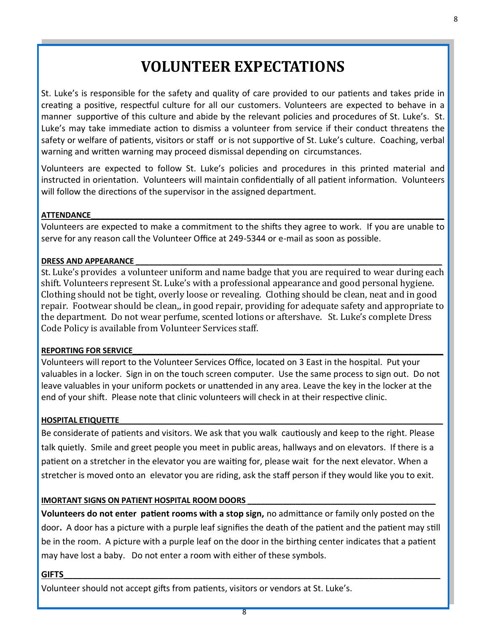# **VOLUNTEER EXPECTATIONS**

St. Luke's is responsible for the safety and quality of care provided to our patients and takes pride in creating a positive, respectful culture for all our customers. Volunteers are expected to behave in a manner supportive of this culture and abide by the relevant policies and procedures of St. Luke's. St. Luke's may take immediate action to dismiss a volunteer from service if their conduct threatens the safety or welfare of patients, visitors or staff or is not supportive of St. Luke's culture. Coaching, verbal warning and written warning may proceed dismissal depending on circumstances.

Volunteers are expected to follow St. Luke's policies and procedures in this printed material and instructed in orientation. Volunteers will maintain confidentially of all patient information. Volunteers will follow the directions of the supervisor in the assigned department.

### **ATTENDANCE\_\_\_\_\_\_\_\_\_\_\_\_\_\_\_\_\_\_\_\_\_\_\_\_\_\_\_\_\_\_\_\_\_\_\_\_\_\_\_\_\_\_\_\_\_\_\_\_\_\_\_\_\_\_\_\_\_\_\_\_\_\_\_\_\_\_\_\_\_\_\_\_\_\_**

Volunteers are expected to make a commitment to the shifts they agree to work. If you are unable to serve for any reason call the Volunteer Office at 249-5344 or e-mail as soon as possible.

### DRESS AND APPEARANCE

St. Luke's provides a volunteer uniform and name badge that you are required to wear during each shift. Volunteers represent St. Luke's with a professional appearance and good personal hygiene. Clothing should not be tight, overly loose or revealing. Clothing should be clean, neat and in good repair. Footwear should be clean,, in good repair, providing for adequate safety and appropriate to the department. Do not wear perfume, scented lotions or aftershave. St. Luke's complete Dress Code Policy is available from Volunteer Services staff.

### **REPORTING FOR SERVICE\_\_\_\_\_\_\_\_\_\_\_\_\_\_\_\_\_\_\_\_\_\_\_\_\_\_\_\_\_\_\_\_\_\_\_\_\_\_\_\_\_\_\_\_\_\_\_\_\_\_\_\_\_\_\_\_\_\_\_\_\_\_\_\_\_\_\_\_\_\_\_**

Volunteers will report to the Volunteer Services Office, located on 3 East in the hospital. Put your valuables in a locker. Sign in on the touch screen computer. Use the same process to sign out. Do not leave valuables in your uniform pockets or unattended in any area. Leave the key in the locker at the end of your shift. Please note that clinic volunteers will check in at their respective clinic.

### **HOSPITAL ETIQUETTE\_\_\_\_\_\_\_\_\_\_\_\_\_\_\_\_\_\_\_\_\_\_\_\_\_\_\_\_\_\_\_\_\_\_\_\_\_\_\_\_\_\_\_\_\_\_\_\_\_\_\_\_\_\_\_\_\_\_\_\_\_\_\_\_\_\_\_\_\_\_\_\_\_\_**

Be considerate of patients and visitors. We ask that you walk cautiously and keep to the right. Please talk quietly. Smile and greet people you meet in public areas, hallways and on elevators. If there is a patient on a stretcher in the elevator you are waiting for, please wait for the next elevator. When a stretcher is moved onto an elevator you are riding, ask the staff person if they would like you to exit.

### **IMORTANT SIGNS ON PATIENT HOSPITAL ROOM DOORS \_\_\_\_\_\_\_\_\_\_\_\_\_\_\_\_\_\_\_\_\_\_\_\_\_\_\_\_\_\_\_\_\_\_\_\_\_\_\_\_\_\_\_**

**Volunteers do not enter patient rooms with a stop sign,** no admittance or family only posted on the door**.** A door has a picture with a purple leaf signifies the death of the patient and the patient may still be in the room. A picture with a purple leaf on the door in the birthing center indicates that a patient may have lost a baby. Do not enter a room with either of these symbols.

### **GIFTS\_\_\_\_\_\_\_\_\_\_\_\_\_\_\_\_\_\_\_\_\_\_\_\_\_\_\_\_\_\_\_\_\_\_\_\_\_\_\_\_\_\_\_\_\_\_\_\_\_\_\_\_\_\_\_\_\_\_\_\_\_\_\_\_\_\_\_\_\_\_\_\_\_\_\_\_\_\_\_**

Volunteer should not accept gifts from patients, visitors or vendors at St. Luke's.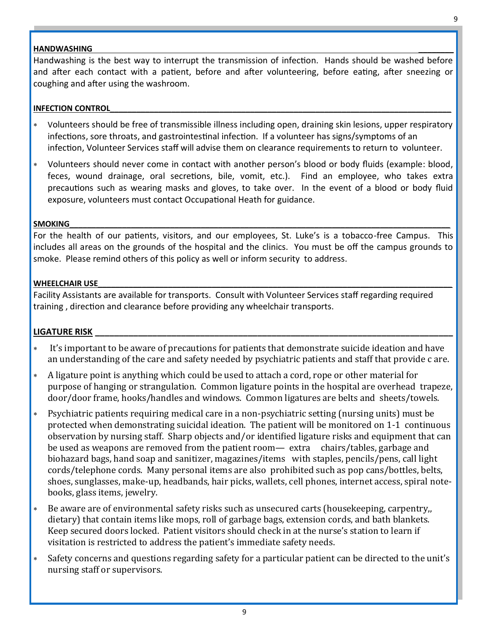#### **HANDWASHING \_\_\_\_\_\_\_\_**

Handwashing is the best way to interrupt the transmission of infection. Hands should be washed before and after each contact with a patient, before and after volunteering, before eating, after sneezing or coughing and after using the washroom.

#### **INFECTION CONTROL**

- Volunteers should be free of transmissible illness including open, draining skin lesions, upper respiratory infections, sore throats, and gastrointestinal infection. If a volunteer has signs/symptoms of an infection, Volunteer Services staff will advise them on clearance requirements to return to volunteer.
- Volunteers should never come in contact with another person's blood or body fluids (example: blood, feces, wound drainage, oral secretions, bile, vomit, etc.). Find an employee, who takes extra precautions such as wearing masks and gloves, to take over. In the event of a blood or body fluid exposure, volunteers must contact Occupational Heath for guidance.

### **SMOKING\_\_\_\_\_\_\_\_\_\_\_\_\_\_\_\_\_\_\_\_\_\_\_\_\_\_\_\_\_\_\_\_\_\_\_\_\_\_\_\_\_\_\_\_\_\_\_\_\_\_\_\_\_\_\_\_\_\_\_\_\_\_\_\_\_\_\_\_\_\_\_\_\_\_\_\_\_\_\_\_\_\_\_\_\_\_\_**

For the health of our patients, visitors, and our employees, St. Luke's is a tobacco-free Campus. This includes all areas on the grounds of the hospital and the clinics. You must be off the campus grounds to smoke. Please remind others of this policy as well or inform security to address.

#### WHEELCHAIR USE

Facility Assistants are available for transports. Consult with Volunteer Services staff regarding required training , direction and clearance before providing any wheelchair transports.

### **LIGATURE RISK \_\_\_\_\_\_\_\_\_\_\_\_\_\_\_\_\_\_\_\_\_\_\_\_\_\_\_\_\_\_\_\_\_\_\_\_\_\_\_\_\_\_\_\_\_\_\_\_\_\_\_\_\_\_\_\_\_\_\_\_\_\_\_\_\_\_\_\_\_\_\_\_\_\_\_**

- It's important to be aware of precautions for patients that demonstrate suicide ideation and have an understanding of the care and safety needed by psychiatric patients and staff that provide c are.
- A ligature point is anything which could be used to attach a cord, rope or other material for purpose of hanging or strangulation. Common ligature points in the hospital are overhead trapeze, door/door frame, hooks/handles and windows. Common ligatures are belts and sheets/towels.
- Psychiatric patients requiring medical care in a non-psychiatric setting (nursing units) must be protected when demonstrating suicidal ideation. The patient will be monitored on 1-1 continuous observation by nursing staff. Sharp objects and/or identified ligature risks and equipment that can be used as weapons are removed from the patient room— extra chairs/tables, garbage and biohazard bags, hand soap and sanitizer, magazines/items with staples, pencils/pens, call light cords/telephone cords. Many personal items are also prohibited such as pop cans/bottles, belts, shoes, sunglasses, make-up, headbands, hair picks, wallets, cell phones, internet access, spiral notebooks, glass items, jewelry.
- Be aware are of environmental safety risks such as unsecured carts (housekeeping, carpentry,, dietary) that contain items like mops, roll of garbage bags, extension cords, and bath blankets. Keep secured doors locked. Patient visitors should check in at the nurse's station to learn if visitation is restricted to address the patient's immediate safety needs.
- Safety concerns and questions regarding safety for a particular patient can be directed to the unit's nursing staff or supervisors.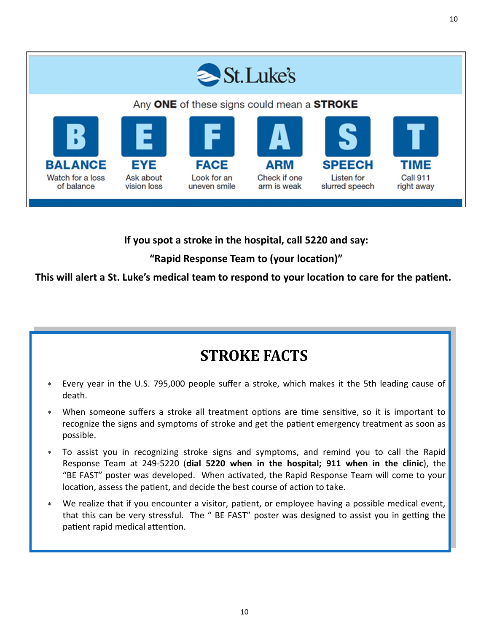

**If you spot a stroke in the hospital, call 5220 and say:** 

**"Rapid Response Team to (your location)"**

**This will alert a St. Luke's medical team to respond to your location to care for the patient.**

# **STROKE FACTS**

- Every year in the U.S. 795,000 people suffer a stroke, which makes it the 5th leading cause of death.
- When someone suffers a stroke all treatment options are time sensitive, so it is important to recognize the signs and symptoms of stroke and get the patient emergency treatment as soon as possible.
- To assist you in recognizing stroke signs and symptoms, and remind you to call the Rapid Response Team at 249-5220 (**dial 5220 when in the hospital; 911 when in the clinic**), the "BE FAST" poster was developed. When activated, the Rapid Response Team will come to your location, assess the patient, and decide the best course of action to take.
- We realize that if you encounter a visitor, patient, or employee having a possible medical event, that this can be very stressful. The " BE FAST" poster was designed to assist you in getting the patient rapid medical attention.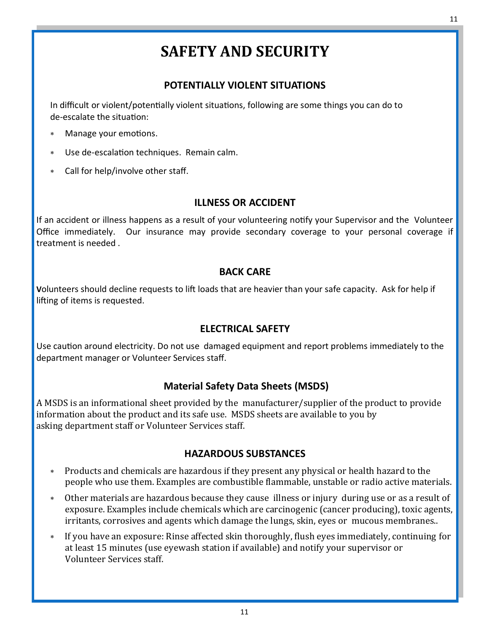# **SAFETY AND SECURITY**

### **POTENTIALLY VIOLENT SITUATIONS**

In difficult or violent/potentially violent situations, following are some things you can do to de-escalate the situation:

- Manage your emotions.
- Use de-escalation techniques. Remain calm.
- Call for help/involve other staff.

### **ILLNESS OR ACCIDENT**

If an accident or illness happens as a result of your volunteering notify your Supervisor and the Volunteer Office immediately. Our insurance may provide secondary coverage to your personal coverage if treatment is needed .

### **BACK CARE**

**V**olunteers should decline requests to lift loads that are heavier than your safe capacity. Ask for help if lifting of items is requested.

### **ELECTRICAL SAFETY**

Use caution around electricity. Do not use damaged equipment and report problems immediately to the department manager or Volunteer Services staff.

### **Material Safety Data Sheets (MSDS)**

A MSDS is an informational sheet provided by the manufacturer/supplier of the product to provide information about the product and its safe use. MSDS sheets are available to you by asking department staff or Volunteer Services staff.

### **HAZARDOUS SUBSTANCES**

- Products and chemicals are hazardous if they present any physical or health hazard to the people who use them. Examples are combustible flammable, unstable or radio active materials.
- Other materials are hazardous because they cause illness or injury during use or as a result of exposure. Examples include chemicals which are carcinogenic (cancer producing), toxic agents, irritants, corrosives and agents which damage the lungs, skin, eyes or mucous membranes..
- If you have an exposure: Rinse affected skin thoroughly, flush eyes immediately, continuing for at least 15 minutes (use eyewash station if available) and notify your supervisor or Volunteer Services staff.